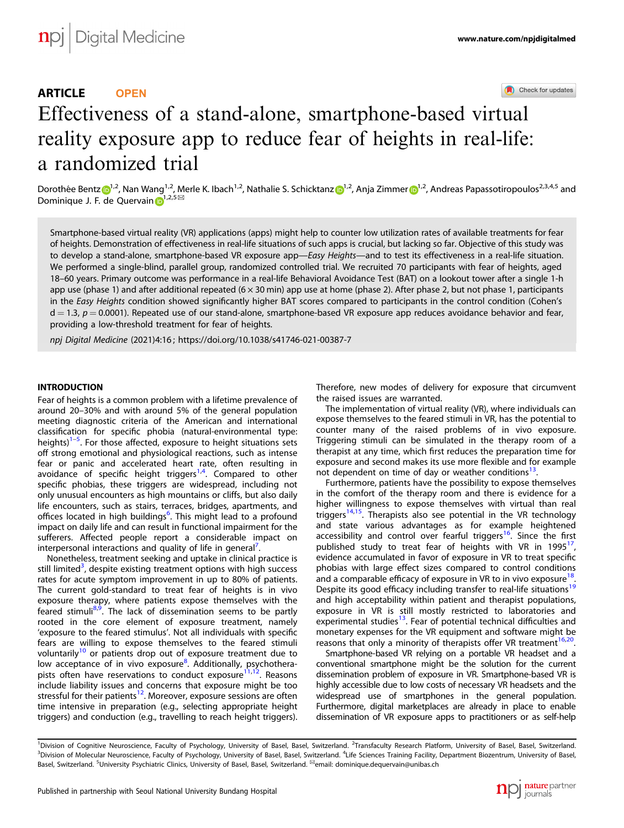Check for updates

# Effectiveness of a stand-alone, smartphone-based vir[tu](http://crossmark.crossref.org/dialog/?doi=10.1038/s41746-021-00387-7&domain=pdf)al reality exposure app to reduce fear of heights in real-life: a randomized trial

Dorothée Bent[z](http://orcid.org/0000-0003-0291-2356) <sup>[1](http://orcid.org/0000-0003-0875-3405),2</sup>, Nan Wang<sup>1,2</sup>, Merle K. Ibach<sup>1,2</sup>, Nathalie S. Schicktanz <sup>1,2</sup>, Anja Zimmer <sup>1,2</sup>, Andreas Papassotiropoulos<sup>2,3,4,5</sup> and Dominique J. F. de Quervain  $\mathbf{D}^{1,2,5}$  $\mathbf{D}^{1,2,5}$  $\mathbf{D}^{1,2,5}$ 

Smartphone-based virtual reality (VR) applications (apps) might help to counter low utilization rates of available treatments for fear of heights. Demonstration of effectiveness in real-life situations of such apps is crucial, but lacking so far. Objective of this study was to develop a stand-alone, smartphone-based VR exposure app—Easy Heights—and to test its effectiveness in a real-life situation. We performed a single-blind, parallel group, randomized controlled trial. We recruited 70 participants with fear of heights, aged 18–60 years. Primary outcome was performance in a real-life Behavioral Avoidance Test (BAT) on a lookout tower after a single 1-h app use (phase 1) and after additional repeated (6  $\times$  30 min) app use at home (phase 2). After phase 2, but not phase 1, participants in the Easy Heights condition showed significantly higher BAT scores compared to participants in the control condition (Cohen's  $d = 1.3$ ,  $p = 0.0001$ ). Repeated use of our stand-alone, smartphone-based VR exposure app reduces avoidance behavior and fear, providing a low-threshold treatment for fear of heights.

npj Digital Medicine (2021) 4:16 ; https://doi.org/1[0.1038/s41746-021-00387-7](https://doi.org/10.1038/s41746-021-00387-7)

# **INTRODUCTION**

Fear of heights is a common problem with a lifetime prevalence of around 20–30% and with around 5% of the general population meeting diagnostic criteria of the American and international classification for specific phobia (natural-environmental type: heights)<sup>[1](#page-7-0)-[5](#page-7-0)</sup>. For those affected, exposure to height situations sets off strong emotional and physiological reactions, such as intense fear or panic and accelerated heart rate, often resulting in avoidance of specific height triggers<sup>[1](#page-7-0),[4](#page-7-0)</sup>. Compared to other specific phobias, these triggers are widespread, including not only unusual encounters as high mountains or cliffs, but also daily life encounters, such as stairs, terraces, bridges, apartments, and offices located in high buildings<sup>[6](#page-7-0)</sup>. This might lead to a profound impact on daily life and can result in functional impairment for the sufferers. Affected people report a considerable impact on interpersonal interactions and quality of life in general'. .

Nonetheless, treatment seeking and uptake in clinical practice is still limited<sup>3</sup>, despite existing treatment options with high success rates for acute symptom improvement in up to 80% of patients. The current gold-standard to treat fear of heights is in vivo exposure therapy, where patients expose themselves with the feared stimuli<sup>[8](#page-7-0),[9](#page-7-0)</sup>. The lack of dissemination seems to be partly rooted in the core element of exposure treatment, namely 'exposure to the feared stimulus'. Not all individuals with specific fears are willing to expose themselves to the feared stimuli voluntarily<sup>[10](#page-7-0)</sup> or patients drop out of exposure treatment due to low acceptance of in vivo exposure<sup>[8](#page-7-0)</sup>. Additionally, psychotherapists often have reservations to conduct exposure<sup>11,12</sup>. Reasons include liability issues and concerns that exposure might be too stressful for their patients<sup>[12](#page-7-0)</sup>. Moreover, exposure sessions are often time intensive in preparation (e.g., selecting appropriate height triggers) and conduction (e.g., travelling to reach height triggers). Therefore, new modes of delivery for exposure that circumvent the raised issues are warranted.

The implementation of virtual reality (VR), where individuals can expose themselves to the feared stimuli in VR, has the potential to counter many of the raised problems of in vivo exposure. Triggering stimuli can be simulated in the therapy room of a therapist at any time, which first reduces the preparation time for exposure and second makes its use more flexible and for example not dependent on time of day or weather conditions<sup>13</sup>.

Furthermore, patients have the possibility to expose themselves in the comfort of the therapy room and there is evidence for a higher willingness to expose themselves with virtual than real triggers<sup>[14](#page-7-0),15</sup>. Therapists also see potential in the VR technology and state various advantages as for example heightened accessibility and control over fearful triggers<sup>[16](#page-7-0)</sup>. Since the first published study to treat fear of heights with VR in 1995<sup>[17](#page-7-0)</sup> evidence accumulated in favor of exposure in VR to treat specific phobias with large effect sizes compared to control conditions and a comparable efficacy of exposure in VR to in vivo exposure<sup>[18](#page-7-0)</sup> Despite its good efficacy including transfer to real-life situations<sup>[19](#page-7-0)</sup> and high acceptability within patient and therapist populations, exposure in VR is still mostly restricted to laboratories and experimental studies<sup>[13](#page-7-0)</sup>. Fear of potential technical difficulties and monetary expenses for the VR equipment and software might be reasons that only a minority of therapists offer VR treatment<sup>[16](#page-7-0),20</sup>.

Smartphone-based VR relying on a portable VR headset and a conventional smartphone might be the solution for the current dissemination problem of exposure in VR. Smartphone-based VR is highly accessible due to low costs of necessary VR headsets and the widespread use of smartphones in the general population. Furthermore, digital marketplaces are already in place to enable dissemination of VR exposure apps to practitioners or as self-help



<sup>&</sup>lt;sup>1</sup>Division of Cognitive Neuroscience, Faculty of Psychology, University of Basel, Basel, Switzerland. <sup>2</sup>Transfaculty Research Platform, University of Basel, Basel, Switzerland. <sup>3</sup>Division of Molecular Neuroscience, Faculty of Psychology, University of Basel, Basel, Switzerland. <sup>4</sup>Life Sciences Training Facility, Department Biozentrum, University of Basel, Basel, Switzerland. <sup>5</sup> University Psychiatric Clinics, University of Basel, Basel, Switzerland. ✉email: [dominique.dequervain@unibas.ch](mailto:dominique.dequervain@unibas.ch)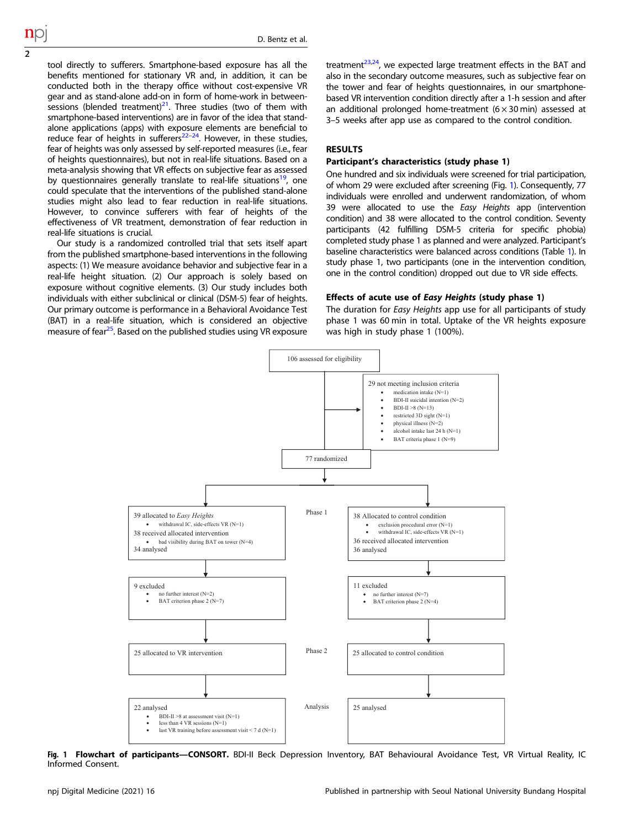<span id="page-1-0"></span>tool directly to sufferers. Smartphone-based exposure has all the benefits mentioned for stationary VR and, in addition, it can be conducted both in the therapy office without cost-expensive VR gear and as stand-alone add-on in form of home-work in betweensessions (blended treatment) $2<sup>1</sup>$ . Three studies (two of them with smartphone-based interventions) are in favor of the idea that standalone applications (apps) with exposure elements are beneficial to reduce fear of heights in sufferers<sup>22–24</sup>. However, in these studies, fear of heights was only assessed by self-reported measures (i.e., fear of heights questionnaires), but not in real-life situations. Based on a meta-analysis showing that VR effects on subjective fear as assessed by questionnaires generally translate to real-life situations<sup>[19](#page-7-0)</sup>, one could speculate that the interventions of the published stand-alone studies might also lead to fear reduction in real-life situations. However, to convince sufferers with fear of heights of the effectiveness of VR treatment, demonstration of fear reduction in real-life situations is crucial.

Our study is a randomized controlled trial that sets itself apart from the published smartphone-based interventions in the following aspects: (1) We measure avoidance behavior and subjective fear in a real-life height situation. (2) Our approach is solely based on exposure without cognitive elements. (3) Our study includes both individuals with either subclinical or clinical (DSM-5) fear of heights. Our primary outcome is performance in a Behavioral Avoidance Test (BAT) in a real-life situation, which is considered an objective measure of fear<sup>[25](#page-7-0)</sup>. Based on the published studies using VR exposure treatment $^{23,24}$ , we expected large treatment effects in the BAT and also in the secondary outcome measures, such as subjective fear on the tower and fear of heights questionnaires, in our smartphonebased VR intervention condition directly after a 1-h session and after an additional prolonged home-treatment  $(6 \times 30 \text{ min})$  assessed at 3–5 weeks after app use as compared to the control condition.

# RESULTS

## Participant's characteristics (study phase 1)

One hundred and six individuals were screened for trial participation, of whom 29 were excluded after screening (Fig. 1). Consequently, 77 individuals were enrolled and underwent randomization, of whom 39 were allocated to use the Easy Heights app (intervention condition) and 38 were allocated to the control condition. Seventy participants (42 fulfilling DSM-5 criteria for specific phobia) completed study phase 1 as planned and were analyzed. Participant's baseline characteristics were balanced across conditions (Table [1\)](#page-2-0). In study phase 1, two participants (one in the intervention condition, one in the control condition) dropped out due to VR side effects.

## Effects of acute use of Easy Heights (study phase 1)

The duration for Easy Heights app use for all participants of study phase 1 was 60 min in total. Uptake of the VR heights exposure was high in study phase 1 (100%).



Fig. 1 Flowchart of participants-CONSORT. BDI-II Beck Depression Inventory, BAT Behavioural Avoidance Test, VR Virtual Reality, IC Informed Consent.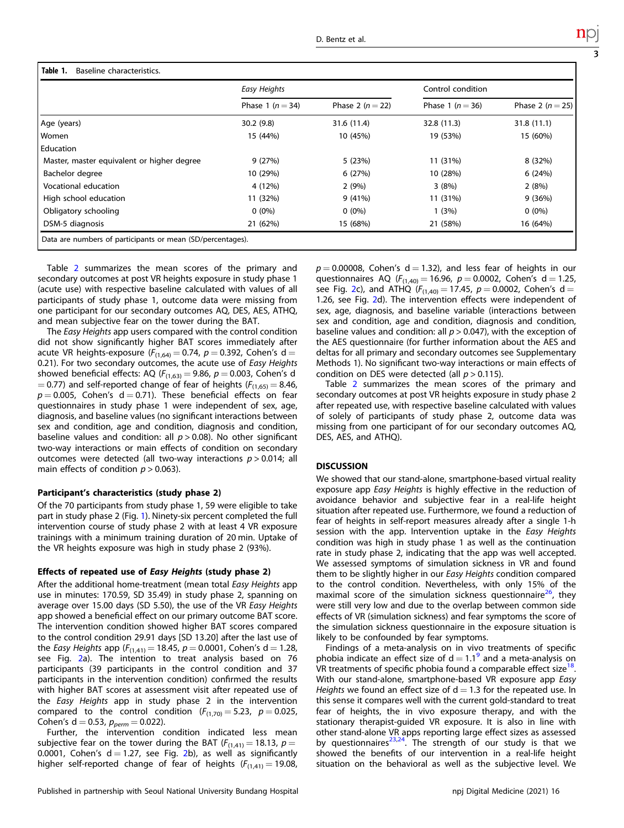3

<span id="page-2-0"></span>

|                                            | Easy Heights         |                  | Control condition    |                      |  |
|--------------------------------------------|----------------------|------------------|----------------------|----------------------|--|
|                                            | Phase 1 ( $n = 34$ ) | Phase 2 $(n=22)$ | Phase 1 ( $n = 36$ ) | Phase 2 ( $n = 25$ ) |  |
| Age (years)                                | 30.2(9.8)            | 31.6 (11.4)      | 32.8 (11.3)          | 31.8(11.1)           |  |
| Women                                      | 15 (44%)             | 10 (45%)         | 19 (53%)             | 15 (60%)             |  |
| Education                                  |                      |                  |                      |                      |  |
| Master, master equivalent or higher degree | 9(27%)               | 5 (23%)          | 11 (31%)             | 8 (32%)              |  |
| Bachelor degree                            | 10 (29%)             | 6(27%)           | 10 (28%)             | 6(24%)               |  |
| Vocational education                       | 4 (12%)              | 2(9%)            | 3(8%)                | 2(8%)                |  |
| High school education                      | 11 (32%)             | 9(41%)           | 11 (31%)             | 9(36%)               |  |
| Obligatory schooling                       | $0(0\%)$             | $0(0\%)$         | 1(3%)                | $0(0\%)$             |  |
| DSM-5 diagnosis                            | 21 (62%)             | 15 (68%)         | 21 (58%)             | 16 (64%)             |  |

Table [2](#page-3-0) summarizes the mean scores of the primary and secondary outcomes at post VR heights exposure in study phase 1 (acute use) with respective baseline calculated with values of all participants of study phase 1, outcome data were missing from one participant for our secondary outcomes AQ, DES, AES, ATHQ, and mean subjective fear on the tower during the BAT.

The Easy Heights app users compared with the control condition did not show significantly higher BAT scores immediately after acute VR heights-exposure ( $F_{(1,64)} = 0.74$ ,  $p = 0.392$ , Cohen's d = 0.21). For two secondary outcomes, the acute use of Easy Heights showed beneficial effects: AQ ( $F_{(1,63)} = 9.86$ ,  $p = 0.003$ , Cohen's d  $= 0.77$ ) and self-reported change of fear of heights ( $F_{(1,65)} = 8.46$ ,  $p = 0.005$ , Cohen's d = 0.71). These beneficial effects on fear questionnaires in study phase 1 were independent of sex, age, diagnosis, and baseline values (no significant interactions between sex and condition, age and condition, diagnosis and condition, baseline values and condition: all  $p > 0.08$ ). No other significant two-way interactions or main effects of condition on secondary outcomes were detected (all two-way interactions  $p > 0.014$ ; all main effects of condition  $p > 0.063$ ).

#### Participant's characteristics (study phase 2)

Of the 70 participants from study phase 1, 59 were eligible to take part in study phase 2 (Fig. [1\)](#page-1-0). Ninety-six percent completed the full intervention course of study phase 2 with at least 4 VR exposure trainings with a minimum training duration of 20 min. Uptake of the VR heights exposure was high in study phase 2 (93%).

## Effects of repeated use of Easy Heights (study phase 2)

After the additional home-treatment (mean total Easy Heights app use in minutes: 170.59, SD 35.49) in study phase 2, spanning on average over 15.00 days (SD 5.50), the use of the VR Easy Heights app showed a beneficial effect on our primary outcome BAT score. The intervention condition showed higher BAT scores compared to the control condition 29.91 days [SD 13.20] after the last use of the *Easy Heights* app ( $F_{(1,41)} = 18.45$ ,  $p = 0.0001$ , Cohen's d = 1.28, see Fig. [2](#page-4-0)a). The intention to treat analysis based on 76 participants (39 participants in the control condition and 37 participants in the intervention condition) confirmed the results with higher BAT scores at assessment visit after repeated use of the Easy Heights app in study phase 2 in the intervention compared to the control condition  $(F_{(1,70)} = 5.23, p = 0.025,$ Cohen's d = 0.53,  $p_{perm} = 0.022$ ).

Further, the intervention condition indicated less mean subjective fear on the tower during the BAT ( $F_{(1,41)} = 18.13$ ,  $p =$ 0.0001, Cohen's  $d = 1.27$  $d = 1.27$  $d = 1.27$ , see Fig. 2b), as well as significantly higher self-reported change of fear of heights  $(F_{(1,41)} = 19.08$ ,  $p = 0.00008$ , Cohen's d = 1.32), and less fear of heights in our questionnaires AQ ( $F_{(1,40)} = 16.96$ ,  $p = 0.0002$ , Cohen's d = 1.25, see Fig. [2](#page-4-0)c), and ATHQ  $(F_{(1,40)} = 17.45, p = 0.0002,$  Cohen's d = 1.26, see Fig. [2](#page-4-0)d). The intervention effects were independent of sex, age, diagnosis, and baseline variable (interactions between sex and condition, age and condition, diagnosis and condition, baseline values and condition: all  $p > 0.047$ ), with the exception of the AES questionnaire (for further information about the AES and deltas for all primary and secondary outcomes see Supplementary Methods 1). No significant two-way interactions or main effects of condition on DES were detected (all  $p > 0.115$ ).

Table [2](#page-3-0) summarizes the mean scores of the primary and secondary outcomes at post VR heights exposure in study phase 2 after repeated use, with respective baseline calculated with values of solely of participants of study phase 2, outcome data was missing from one participant of for our secondary outcomes AQ, DES, AES, and ATHQ).

## **DISCUSSION**

We showed that our stand-alone, smartphone-based virtual reality exposure app Easy Heights is highly effective in the reduction of avoidance behavior and subjective fear in a real-life height situation after repeated use. Furthermore, we found a reduction of fear of heights in self-report measures already after a single 1-h session with the app. Intervention uptake in the Easy Heights condition was high in study phase 1 as well as the continuation rate in study phase 2, indicating that the app was well accepted. We assessed symptoms of simulation sickness in VR and found them to be slightly higher in our Easy Heights condition compared to the control condition. Nevertheless, with only 15% of the maximal score of the simulation sickness questionnaire<sup>[26](#page-7-0)</sup>, they were still very low and due to the overlap between common side effects of VR (simulation sickness) and fear symptoms the score of the simulation sickness questionnaire in the exposure situation is likely to be confounded by fear symptoms.

Findings of a meta-analysis on in vivo treatments of specific phobia indicate an effect size of  $d = 1.1<sup>9</sup>$  $d = 1.1<sup>9</sup>$  $d = 1.1<sup>9</sup>$  and a meta-analysis on VR treatments of specific phobia found a comparable effect size $^{18}$  $^{18}$  $^{18}$ . With our stand-alone, smartphone-based VR exposure app Easy Heights we found an effect size of  $d = 1.3$  for the repeated use. In this sense it compares well with the current gold-standard to treat fear of heights, the in vivo exposure therapy, and with the stationary therapist-guided VR exposure. It is also in line with other stand-alone VR apps reporting large effect sizes as assessed by questionnaires $^{23,24}$  $^{23,24}$  $^{23,24}$ . The strength of our study is that we showed the benefits of our intervention in a real-life height situation on the behavioral as well as the subjective level. We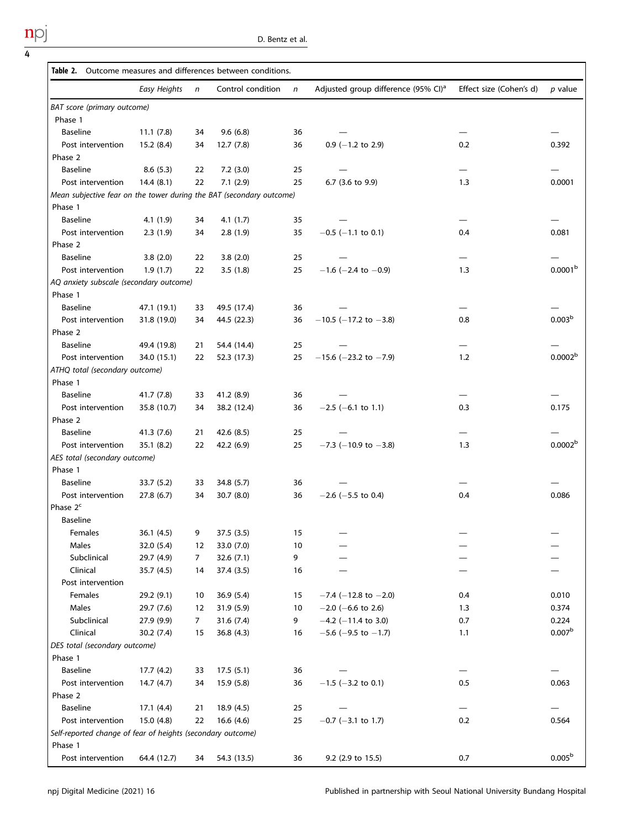<span id="page-3-0"></span> $\frac{npj}{4}$ 

|                                                                      | Table 2. Outcome measures and differences between conditions. |              |                   |              |                                                 |                         |                     |  |  |
|----------------------------------------------------------------------|---------------------------------------------------------------|--------------|-------------------|--------------|-------------------------------------------------|-------------------------|---------------------|--|--|
|                                                                      | Easy Heights                                                  | $\mathsf{n}$ | Control condition | $\mathsf{n}$ | Adjusted group difference (95% CI) <sup>a</sup> | Effect size (Cohen's d) | p value             |  |  |
| BAT score (primary outcome)                                          |                                                               |              |                   |              |                                                 |                         |                     |  |  |
| Phase 1                                                              |                                                               |              |                   |              |                                                 |                         |                     |  |  |
| <b>Baseline</b>                                                      | 11.1(7.8)                                                     | 34           | 9.6(6.8)          | 36           |                                                 |                         |                     |  |  |
| Post intervention                                                    | 15.2(8.4)                                                     | 34           | 12.7(7.8)         | 36           | $0.9$ (-1.2 to 2.9)                             | 0.2                     | 0.392               |  |  |
| Phase 2                                                              |                                                               |              |                   |              |                                                 |                         |                     |  |  |
| Baseline                                                             | 8.6(5.3)                                                      | 22           | 7.2(3.0)          | 25           |                                                 |                         |                     |  |  |
| Post intervention                                                    | 14.4(8.1)                                                     | 22           | 7.1(2.9)          | 25           | 6.7 (3.6 to 9.9)                                | 1.3                     | 0.0001              |  |  |
| Mean subjective fear on the tower during the BAT (secondary outcome) |                                                               |              |                   |              |                                                 |                         |                     |  |  |
| Phase 1                                                              |                                                               |              |                   |              |                                                 |                         |                     |  |  |
| Baseline                                                             | 4.1(1.9)                                                      | 34           | 4.1(1.7)          | 35           |                                                 |                         |                     |  |  |
| Post intervention                                                    | 2.3(1.9)                                                      | 34           | 2.8(1.9)          | 35           | $-0.5$ (-1.1 to 0.1)                            | 0.4                     | 0.081               |  |  |
| Phase 2                                                              |                                                               |              |                   |              |                                                 |                         |                     |  |  |
| <b>Baseline</b>                                                      | 3.8(2.0)                                                      | 22           | 3.8(2.0)          | 25           |                                                 |                         |                     |  |  |
| Post intervention                                                    | 1.9(1.7)                                                      | 22           | 3.5(1.8)          | 25           | $-1.6$ (-2.4 to -0.9)                           | 1.3                     | 0.0001 <sup>b</sup> |  |  |
| AQ anxiety subscale (secondary outcome)                              |                                                               |              |                   |              |                                                 |                         |                     |  |  |
| Phase 1                                                              |                                                               |              |                   |              |                                                 |                         |                     |  |  |
| Baseline                                                             | 47.1 (19.1)                                                   | 33           | 49.5 (17.4)       | 36           |                                                 |                         |                     |  |  |
| Post intervention                                                    | 31.8 (19.0)                                                   | 34           | 44.5 (22.3)       | 36           | $-10.5$ (-17.2 to -3.8)                         | 0.8                     | 0.003 <sup>b</sup>  |  |  |
| Phase 2                                                              |                                                               |              |                   |              |                                                 |                         |                     |  |  |
| Baseline                                                             | 49.4 (19.8)                                                   | 21           | 54.4 (14.4)       | 25           |                                                 |                         |                     |  |  |
| Post intervention                                                    | 34.0 (15.1)                                                   | 22           | 52.3 (17.3)       | 25           | $-15.6$ (-23.2 to -7.9)                         | 1.2                     | 0.0002 <sup>b</sup> |  |  |
| ATHQ total (secondary outcome)                                       |                                                               |              |                   |              |                                                 |                         |                     |  |  |
| Phase 1                                                              |                                                               |              |                   |              |                                                 |                         |                     |  |  |
| Baseline                                                             | 41.7 (7.8)                                                    | 33           | 41.2 (8.9)        | 36           |                                                 |                         |                     |  |  |
| Post intervention                                                    | 35.8 (10.7)                                                   | 34           | 38.2 (12.4)       | 36           | $-2.5$ (-6.1 to 1.1)                            | 0.3                     | 0.175               |  |  |
| Phase 2                                                              |                                                               |              |                   |              |                                                 |                         |                     |  |  |
| <b>Baseline</b>                                                      | 41.3 (7.6)                                                    | 21           | 42.6(8.5)         | 25           |                                                 |                         |                     |  |  |
| Post intervention                                                    | 35.1(8.2)                                                     | 22           | 42.2 (6.9)        | 25           | $-7.3$ (-10.9 to $-3.8$ )                       | 1.3                     | 0.0002 <sup>b</sup> |  |  |
| AES total (secondary outcome)                                        |                                                               |              |                   |              |                                                 |                         |                     |  |  |
| Phase 1                                                              |                                                               |              |                   |              |                                                 |                         |                     |  |  |
| Baseline                                                             | 33.7(5.2)                                                     | 33           | 34.8 (5.7)        | 36           |                                                 |                         |                     |  |  |
| Post intervention                                                    | 27.8 (6.7)                                                    | 34           | 30.7 (8.0)        | 36           | $-2.6$ ( $-5.5$ to 0.4)                         | 0.4                     | 0.086               |  |  |
| Phase $2^c$                                                          |                                                               |              |                   |              |                                                 |                         |                     |  |  |
| <b>Baseline</b>                                                      |                                                               |              |                   |              |                                                 |                         |                     |  |  |
| Females                                                              | 36.1 (4.5)                                                    | 9            | 37.5 (3.5)        | 15           |                                                 |                         | —                   |  |  |
| Males                                                                | 32.0 (5.4)                                                    | 12           | 33.0 (7.0)        | 10           |                                                 |                         |                     |  |  |
| Subclinical                                                          | 29.7 (4.9)                                                    | 7            | 32.6 (7.1)        | 9            |                                                 |                         |                     |  |  |
| Clinical                                                             | 35.7 (4.5)                                                    | 14           | 37.4 (3.5)        | 16           |                                                 |                         |                     |  |  |
| Post intervention                                                    |                                                               |              |                   |              |                                                 |                         |                     |  |  |
| Females                                                              | 29.2 (9.1)                                                    | 10           | 36.9 (5.4)        | 15           | $-7.4$ (-12.8 to -2.0)                          | 0.4                     | 0.010               |  |  |
| Males                                                                | 29.7 (7.6)                                                    | 12           | 31.9 (5.9)        | 10           | $-2.0$ (-6.6 to 2.6)                            | 1.3                     | 0.374               |  |  |
| Subclinical                                                          | 27.9 (9.9)                                                    | 7            | 31.6(7.4)         | 9            | $-4.2$ (-11.4 to 3.0)                           | 0.7                     | 0.224               |  |  |
| Clinical                                                             | 30.2(7.4)                                                     | 15           | 36.8(4.3)         | 16           | $-5.6$ (-9.5 to $-1.7$ )                        | 1.1                     | 0.007 <sup>b</sup>  |  |  |
| DES total (secondary outcome)                                        |                                                               |              |                   |              |                                                 |                         |                     |  |  |
| Phase 1                                                              |                                                               |              |                   |              |                                                 |                         |                     |  |  |
| Baseline                                                             | 17.7(4.2)                                                     | 33           | 17.5(5.1)         | 36           |                                                 |                         |                     |  |  |
| Post intervention                                                    | 14.7(4.7)                                                     | 34           | 15.9 (5.8)        | 36           | $-1.5$ ( $-3.2$ to 0.1)                         | 0.5                     | 0.063               |  |  |
| Phase 2                                                              |                                                               |              |                   |              |                                                 |                         |                     |  |  |
| Baseline                                                             | 17.1(4.4)                                                     | 21           | 18.9 (4.5)        | 25           |                                                 |                         |                     |  |  |
| Post intervention                                                    | 15.0(4.8)                                                     | 22           | 16.6(4.6)         | 25           | $-0.7$ ( $-3.1$ to 1.7)                         | 0.2                     | 0.564               |  |  |
| Self-reported change of fear of heights (secondary outcome)          |                                                               |              |                   |              |                                                 |                         |                     |  |  |
| Phase 1                                                              |                                                               |              |                   |              |                                                 |                         |                     |  |  |
| Post intervention                                                    | 64.4 (12.7)                                                   | 34           | 54.3 (13.5)       | 36           | 9.2 (2.9 to 15.5)                               | 0.7                     | 0.005 <sup>b</sup>  |  |  |
|                                                                      |                                                               |              |                   |              |                                                 |                         |                     |  |  |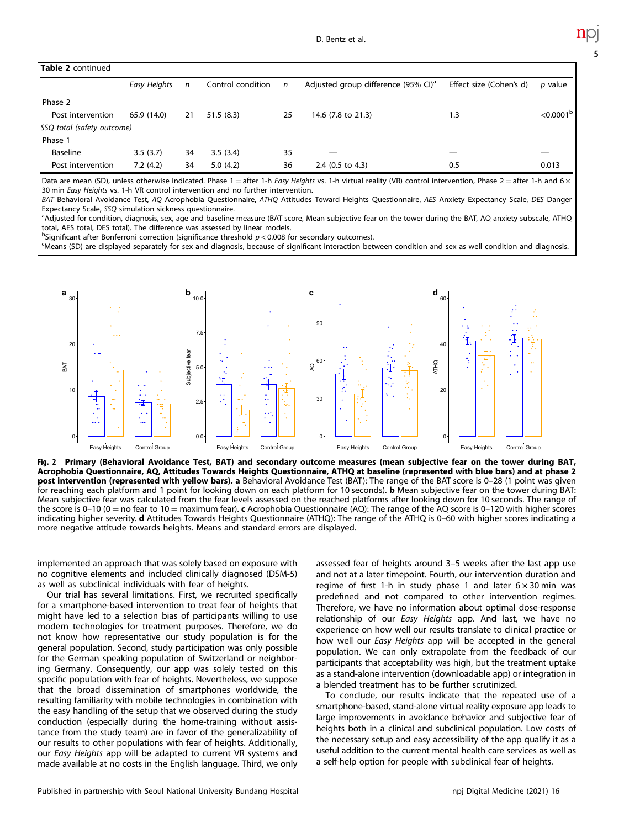<span id="page-4-0"></span>

| Table 2 continued          |              |              |                   |    |                                                 |                         |                         |  |  |
|----------------------------|--------------|--------------|-------------------|----|-------------------------------------------------|-------------------------|-------------------------|--|--|
|                            | Easy Heights | $\mathsf{n}$ | Control condition | n  | Adjusted group difference (95% CI) <sup>a</sup> | Effect size (Cohen's d) | $p$ value               |  |  |
| Phase 2                    |              |              |                   |    |                                                 |                         |                         |  |  |
| Post intervention          | 65.9 (14.0)  | 21           | 51.5(8.3)         | 25 | 14.6 (7.8 to 21.3)                              | 1.3                     | $<$ 0.0001 <sup>b</sup> |  |  |
| SSQ total (safety outcome) |              |              |                   |    |                                                 |                         |                         |  |  |
| Phase 1                    |              |              |                   |    |                                                 |                         |                         |  |  |
| Baseline                   | 3.5(3.7)     | 34           | 3.5(3.4)          | 35 |                                                 |                         |                         |  |  |
| Post intervention          | 7.2(4.2)     | 34           | 5.0(4.2)          | 36 | $2.4$ (0.5 to 4.3)                              | 0.5                     | 0.013                   |  |  |

Data are mean (SD), unless otherwise indicated. Phase  $1 =$ after 1-h Easy Heights vs. 1-h virtual reality (VR) control intervention, Phase  $2 =$ after 1-h and 6  $\times$ 30 min Easy Heights vs. 1-h VR control intervention and no further intervention.

BAT Behavioral Avoidance Test, AQ Acrophobia Questionnaire, ATHQ Attitudes Toward Heights Questionnaire, AES Anxiety Expectancy Scale, DES Danger Expectancy Scale, SSO simulation sickness questionnaire.

<sup>a</sup>Adjusted for condition, diagnosis, sex, age and baseline measure (BAT score, Mean subjective fear on the tower during the BAT, AQ anxiety subscale, ATHQ total, AES total, DES total). The difference was assessed by linear models.

 $b$ Significant after Bonferroni correction (significance threshold  $p < 0.008$  for secondary outcomes).<br>SMeans (SD) are displayed separately for sex and diagnosis, because of significant interaction bet

Means (SD) are displayed separately for sex and diagnosis, because of significant interaction between condition and sex as well condition and diagnosis.



Fig. 2 Primary (Behavioral Avoidance Test, BAT) and secondary outcome measures (mean subjective fear on the tower during BAT, Acrophobia Questionnaire, AQ, Attitudes Towards Heights Questionnaire, ATHQ at baseline (represented with blue bars) and at phase 2 post intervention (represented with yellow bars). a Behavioral Avoidance Test (BAT): The range of the BAT score is 0–28 (1 point was given for reaching each platform and 1 point for looking down on each platform for 10 seconds). b Mean subjective fear on the tower during BAT: Mean subjective fear was calculated from the fear levels assessed on the reached platforms after looking down for 10 seconds. The range of the score is 0–10 (0 = no fear to 10 = maximum fear). c Acrophobia Questionnaire (AQ): The range of the AQ score is 0–120 with higher scores indicating higher severity. d Attitudes Towards Heights Questionnaire (ATHQ): The range of the ATHQ is 0–60 with higher scores indicating a more negative attitude towards heights. Means and standard errors are displayed.

implemented an approach that was solely based on exposure with no cognitive elements and included clinically diagnosed (DSM-5) as well as subclinical individuals with fear of heights.

Our trial has several limitations. First, we recruited specifically for a smartphone-based intervention to treat fear of heights that might have led to a selection bias of participants willing to use modern technologies for treatment purposes. Therefore, we do not know how representative our study population is for the general population. Second, study participation was only possible for the German speaking population of Switzerland or neighboring Germany. Consequently, our app was solely tested on this specific population with fear of heights. Nevertheless, we suppose that the broad dissemination of smartphones worldwide, the resulting familiarity with mobile technologies in combination with the easy handling of the setup that we observed during the study conduction (especially during the home-training without assistance from the study team) are in favor of the generalizability of our results to other populations with fear of heights. Additionally, our Easy Heights app will be adapted to current VR systems and made available at no costs in the English language. Third, we only assessed fear of heights around 3–5 weeks after the last app use and not at a later timepoint. Fourth, our intervention duration and regime of first 1-h in study phase 1 and later  $6 \times 30$  min was predefined and not compared to other intervention regimes. Therefore, we have no information about optimal dose-response relationship of our Easy Heights app. And last, we have no experience on how well our results translate to clinical practice or how well our *Easy Heights* app will be accepted in the general population. We can only extrapolate from the feedback of our participants that acceptability was high, but the treatment uptake as a stand-alone intervention (downloadable app) or integration in a blended treatment has to be further scrutinized.

To conclude, our results indicate that the repeated use of a smartphone-based, stand-alone virtual reality exposure app leads to large improvements in avoidance behavior and subjective fear of heights both in a clinical and subclinical population. Low costs of the necessary setup and easy accessibility of the app qualify it as a useful addition to the current mental health care services as well as a self-help option for people with subclinical fear of heights.

Published in partnership with Seoul National University Bundang Hospital negries and the match of Digital Medicine (2021) 16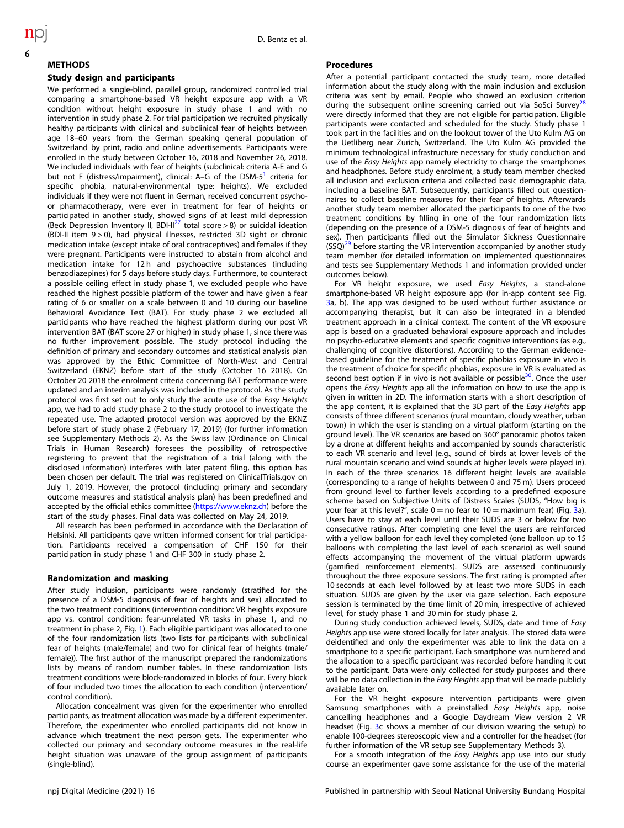6

**METHODS** 

# Study design and participants

We performed a single-blind, parallel group, randomized controlled trial comparing a smartphone-based VR height exposure app with a VR condition without height exposure in study phase 1 and with no intervention in study phase 2. For trial participation we recruited physically healthy participants with clinical and subclinical fear of heights between age 18–60 years from the German speaking general population of Switzerland by print, radio and online advertisements. Participants were enrolled in the study between October 16, 2018 and November 26, 2018. We included individuals with fear of heights (subclinical: criteria A-E and G but not F (distress/impairment), clinical: A-G of the DSM- $5<sup>1</sup>$  criteria for specific phobia, natural-environmental type: heights). We excluded individuals if they were not fluent in German, received concurrent psychoor pharmacotherapy, were ever in treatment for fear of heights or participated in another study, showed signs of at least mild depression (Beck Depression Inventory II, BDI-II<sup>[27](#page-7-0)</sup> total score > 8) or suicidal ideation (BDI-II item 9 > 0), had physical illnesses, restricted 3D sight or chronic medication intake (except intake of oral contraceptives) and females if they were pregnant. Participants were instructed to abstain from alcohol and medication intake for 12 h and psychoactive substances (including benzodiazepines) for 5 days before study days. Furthermore, to counteract a possible ceiling effect in study phase 1, we excluded people who have reached the highest possible platform of the tower and have given a fear rating of 6 or smaller on a scale between 0 and 10 during our baseline Behavioral Avoidance Test (BAT). For study phase 2 we excluded all participants who have reached the highest platform during our post VR intervention BAT (BAT score 27 or higher) in study phase 1, since there was no further improvement possible. The study protocol including the definition of primary and secondary outcomes and statistical analysis plan was approved by the Ethic Committee of North-West and Central Switzerland (EKNZ) before start of the study (October 16 2018). On October 20 2018 the enrolment criteria concerning BAT performance were updated and an interim analysis was included in the protocol. As the study protocol was first set out to only study the acute use of the Easy Heights app, we had to add study phase 2 to the study protocol to investigate the repeated use. The adapted protocol version was approved by the EKNZ before start of study phase 2 (February 17, 2019) (for further information see Supplementary Methods 2). As the Swiss law (Ordinance on Clinical Trials in Human Research) foresees the possibility of retrospective registering to prevent that the registration of a trial (along with the disclosed information) interferes with later patent filing, this option has been chosen per default. The trial was registered on ClinicalTrials.gov on July 1, 2019. However, the protocol (including primary and secondary outcome measures and statistical analysis plan) has been predefined and accepted by the official ethics committee ([https://www.eknz.ch\)](https://www.eknz.ch) before the start of the study phases. Final data was collected on May 24, 2019.

All research has been performed in accordance with the Declaration of Helsinki. All participants gave written informed consent for trial participation. Participants received a compensation of CHF 150 for their participation in study phase 1 and CHF 300 in study phase 2.

#### Randomization and masking

After study inclusion, participants were randomly (stratified for the presence of a DSM-5 diagnosis of fear of heights and sex) allocated to the two treatment conditions (intervention condition: VR heights exposure app vs. control condition: fear-unrelated VR tasks in phase 1, and no treatment in phase 2, Fig. [1](#page-1-0)). Each eligible participant was allocated to one of the four randomization lists (two lists for participants with subclinical fear of heights (male/female) and two for clinical fear of heights (male/ female)). The first author of the manuscript prepared the randomizations lists by means of random number tables. In these randomization lists treatment conditions were block-randomized in blocks of four. Every block of four included two times the allocation to each condition (intervention/ control condition).

Allocation concealment was given for the experimenter who enrolled participants, as treatment allocation was made by a different experimenter. Therefore, the experimenter who enrolled participants did not know in advance which treatment the next person gets. The experimenter who collected our primary and secondary outcome measures in the real-life height situation was unaware of the group assignment of participants (single-blind).

#### Procedures

After a potential participant contacted the study team, more detailed information about the study along with the main inclusion and exclusion criteria was sent by email. People who showed an exclusion criterion during the subsequent online screening carried out via SoSci Survey<sup>2</sup> were directly informed that they are not eligible for participation. Eligible participants were contacted and scheduled for the study. Study phase 1 took part in the facilities and on the lookout tower of the Uto Kulm AG on the Uetliberg near Zurich, Switzerland. The Uto Kulm AG provided the minimum technological infrastructure necessary for study conduction and use of the Easy Heights app namely electricity to charge the smartphones and headphones. Before study enrolment, a study team member checked all inclusion and exclusion criteria and collected basic demographic data, including a baseline BAT. Subsequently, participants filled out questionnaires to collect baseline measures for their fear of heights. Afterwards another study team member allocated the participants to one of the two treatment conditions by filling in one of the four randomization lists (depending on the presence of a DSM-5 diagnosis of fear of heights and sex). Then participants filled out the Simulator Sickness Questionnaire  $(SSQ)<sup>29</sup>$  before starting the VR intervention accompanied by another study team member (for detailed information on implemented questionnaires and tests see Supplementary Methods 1 and information provided under outcomes below).

For VR height exposure, we used Easy Heights, a stand-alone smartphone-based VR height exposure app (for in-app content see Fig. [3](#page-6-0)a, b). The app was designed to be used without further assistance or accompanying therapist, but it can also be integrated in a blended treatment approach in a clinical context. The content of the VR exposure app is based on a graduated behavioral exposure approach and includes no psycho-educative elements and specific cognitive interventions (as e.g., challenging of cognitive distortions). According to the German evidencebased guideline for the treatment of specific phobias exposure in vivo is the treatment of choice for specific phobias, exposure in VR is evaluated as second best option if in vivo is not available or possible<sup>30</sup>. Once the user opens the Easy Heights app all the information on how to use the app is given in written in 2D. The information starts with a short description of the app content, it is explained that the 3D part of the Easy Heights app consists of three different scenarios (rural mountain, cloudy weather, urban town) in which the user is standing on a virtual platform (starting on the ground level). The VR scenarios are based on 360° panoramic photos taken by a drone at different heights and accompanied by sounds characteristic to each VR scenario and level (e.g., sound of birds at lower levels of the rural mountain scenario and wind sounds at higher levels were played in). In each of the three scenarios 16 different height levels are available (corresponding to a range of heights between 0 and 75 m). Users proceed from ground level to further levels according to a predefined exposure scheme based on Subjective Units of Distress Scales (SUDS, "How big is your fear at this level?", scale  $0 =$  no fear to  $10 =$  maximum fear) (Fig. [3a](#page-6-0)). Users have to stay at each level until their SUDS are 3 or below for two consecutive ratings. After completing one level the users are reinforced with a yellow balloon for each level they completed (one balloon up to 15 balloons with completing the last level of each scenario) as well sound effects accompanying the movement of the virtual platform upwards (gamified reinforcement elements). SUDS are assessed continuously throughout the three exposure sessions. The first rating is prompted after 10 seconds at each level followed by at least two more SUDS in each situation. SUDS are given by the user via gaze selection. Each exposure session is terminated by the time limit of 20 min, irrespective of achieved level, for study phase 1 and 30 min for study phase 2.

During study conduction achieved levels, SUDS, date and time of Easy Heights app use were stored locally for later analysis. The stored data were deidentified and only the experimenter was able to link the data on a smartphone to a specific participant. Each smartphone was numbered and the allocation to a specific participant was recorded before handing it out to the participant. Data were only collected for study purposes and there will be no data collection in the *Easy Heights* app that will be made publicly available later on.

For the VR height exposure intervention participants were given Samsung smartphones with a preinstalled Easy Heights app, noise cancelling headphones and a Google Daydream View version 2 VR headset (Fig. [3](#page-6-0)c shows a member of our division wearing the setup) to enable 100-degrees stereoscopic view and a controller for the headset (for further information of the VR setup see Supplementary Methods 3).

For a smooth integration of the Easy Heights app use into our study course an experimenter gave some assistance for the use of the material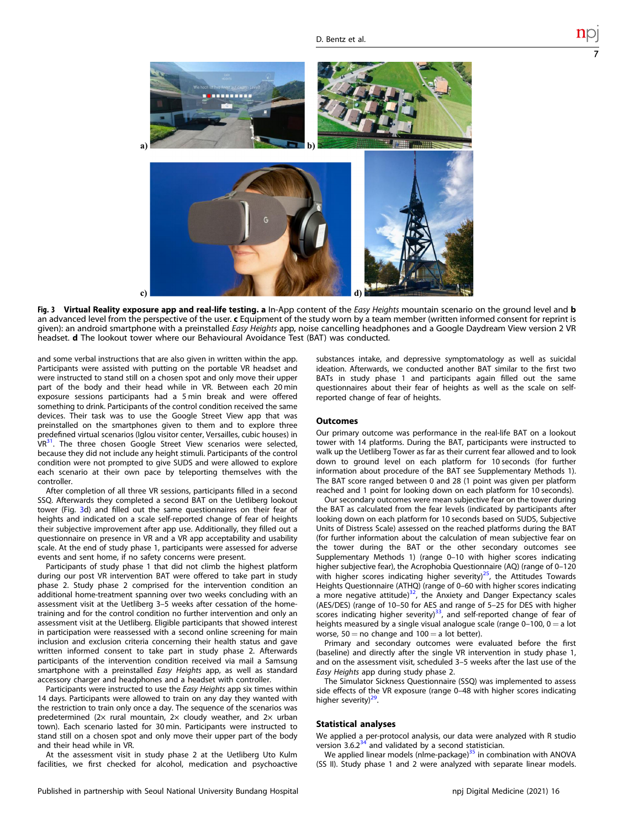<span id="page-6-0"></span>

Fig. 3 Virtual Reality exposure app and real-life testing. a In-App content of the Easy Heights mountain scenario on the ground level and b an advanced level from the perspective of the user. c Equipment of the study worn by a team member (written informed consent for reprint is given): an android smartphone with a preinstalled Easy Heights app, noise cancelling headphones and a Google Daydream View version 2 VR headset. d The lookout tower where our Behavioural Avoidance Test (BAT) was conducted.

and some verbal instructions that are also given in written within the app. Participants were assisted with putting on the portable VR headset and were instructed to stand still on a chosen spot and only move their upper part of the body and their head while in VR. Between each 20 min exposure sessions participants had a 5 min break and were offered something to drink. Participants of the control condition received the same devices. Their task was to use the Google Street View app that was preinstalled on the smartphones given to them and to explore three predefined virtual scenarios (Iglou visitor center, Versailles, cubic houses) in VR<sup>31</sup>. The three chosen Google Street View scenarios were selected, because they did not include any height stimuli. Participants of the control condition were not prompted to give SUDS and were allowed to explore each scenario at their own pace by teleporting themselves with the controller.

After completion of all three VR sessions, participants filled in a second SSQ. Afterwards they completed a second BAT on the Uetliberg lookout tower (Fig. 3d) and filled out the same questionnaires on their fear of heights and indicated on a scale self-reported change of fear of heights their subjective improvement after app use. Additionally, they filled out a questionnaire on presence in VR and a VR app acceptability and usability scale. At the end of study phase 1, participants were assessed for adverse events and sent home, if no safety concerns were present.

Participants of study phase 1 that did not climb the highest platform during our post VR intervention BAT were offered to take part in study phase 2. Study phase 2 comprised for the intervention condition an additional home-treatment spanning over two weeks concluding with an assessment visit at the Uetliberg 3–5 weeks after cessation of the hometraining and for the control condition no further intervention and only an assessment visit at the Uetliberg. Eligible participants that showed interest in participation were reassessed with a second online screening for main inclusion and exclusion criteria concerning their health status and gave written informed consent to take part in study phase 2. Afterwards participants of the intervention condition received via mail a Samsung smartphone with a preinstalled *Easy Heights* app, as well as standard accessory charger and headphones and a headset with controller.

Participants were instructed to use the Easy Heights app six times within 14 days. Participants were allowed to train on any day they wanted with the restriction to train only once a day. The sequence of the scenarios was predetermined (2 $\times$  rural mountain, 2 $\times$  cloudy weather, and 2 $\times$  urban town). Each scenario lasted for 30 min. Participants were instructed to stand still on a chosen spot and only move their upper part of the body and their head while in VR.

At the assessment visit in study phase 2 at the Uetliberg Uto Kulm facilities, we first checked for alcohol, medication and psychoactive substances intake, and depressive symptomatology as well as suicidal ideation. Afterwards, we conducted another BAT similar to the first two BATs in study phase 1 and participants again filled out the same questionnaires about their fear of heights as well as the scale on selfreported change of fear of heights.

7

#### **Outcomes**

Our primary outcome was performance in the real-life BAT on a lookout tower with 14 platforms. During the BAT, participants were instructed to walk up the Uetliberg Tower as far as their current fear allowed and to look down to ground level on each platform for 10 seconds (for further information about procedure of the BAT see Supplementary Methods 1). The BAT score ranged between 0 and 28 (1 point was given per platform reached and 1 point for looking down on each platform for 10 seconds).

Our secondary outcomes were mean subjective fear on the tower during the BAT as calculated from the fear levels (indicated by participants after looking down on each platform for 10 seconds based on SUDS, Subjective Units of Distress Scale) assessed on the reached platforms during the BAT (for further information about the calculation of mean subjective fear on the tower during the BAT or the other secondary outcomes see Supplementary Methods 1) (range 0–10 with higher scores indicating higher subjective fear), the Acrophobia Questionnaire (AQ) (range of 0-120 with higher scores indicating higher severity) $^{25}$ , the Attitudes Towards Heights Questionnaire (ATHQ) (range of 0–60 with higher scores indicating a more negative attitude) $\frac{32}{7}$  $\frac{32}{7}$  $\frac{32}{7}$ , the Anxiety and Danger Expectancy scales (AES/DES) (range of 10–50 for AES and range of 5–25 for DES with higher scores indicating higher severity) $33$ , and self-reported change of fear of heights measured by a single visual analogue scale (range  $0-100$ ,  $0 = a$  lot worse,  $50 = no$  change and  $100 = a$  lot better).

Primary and secondary outcomes were evaluated before the first (baseline) and directly after the single VR intervention in study phase 1, and on the assessment visit, scheduled 3–5 weeks after the last use of the Easy Heights app during study phase 2.

The Simulator Sickness Questionnaire (SSQ) was implemented to assess side effects of the VR exposure (range 0–48 with higher scores indicating higher severity)<sup>29</sup>.

#### Statistical analyses

We applied a per-protocol analysis, our data were analyzed with R studio version 3.6.2 $34$  and validated by a second statistician.

We applied linear models (nlme-package)<sup>[35](#page-7-0)</sup> in combination with ANOVA (SS II). Study phase 1 and 2 were analyzed with separate linear models.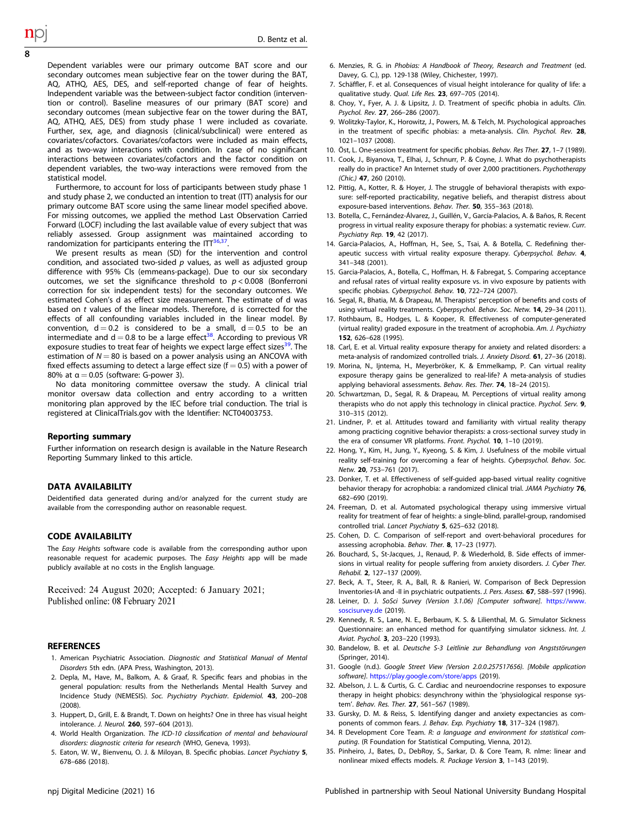Dependent variables were our primary outcome BAT score and our secondary outcomes mean subjective fear on the tower during the BAT, AQ, ATHQ, AES, DES, and self-reported change of fear of heights. Independent variable was the between-subject factor condition (intervention or control). Baseline measures of our primary (BAT score) and secondary outcomes (mean subjective fear on the tower during the BAT, AQ, ATHQ, AES, DES) from study phase 1 were included as covariate. Further, sex, age, and diagnosis (clinical/subclinical) were entered as covariates/cofactors. Covariates/cofactors were included as main effects, and as two-way interactions with condition. In case of no significant interactions between covariates/cofactors and the factor condition on dependent variables, the two-way interactions were removed from the statistical model.

Furthermore, to account for loss of participants between study phase 1 and study phase 2, we conducted an intention to treat (ITT) analysis for our primary outcome BAT score using the same linear model specified above. For missing outcomes, we applied the method Last Observation Carried Forward (LOCF) including the last available value of every subject that was reliably assessed. Group assignment was maintained according to randomization for participants entering the  $IT^{36,37}$  $IT^{36,37}$  $IT^{36,37}$ .

We present results as mean (SD) for the intervention and control condition, and associated two-sided  $p$  values, as well as adjusted group difference with 95% CIs (emmeans-package). Due to our six secondary outcomes, we set the significance threshold to  $p < 0.008$  (Bonferroni correction for six independent tests) for the secondary outcomes. We estimated Cohen's d as effect size measurement. The estimate of d was based on t values of the linear models. Therefore, d is corrected for the effects of all confounding variables included in the linear model. By convention,  $d = 0.2$  is considered to be a small,  $d = 0.5$  to be an intermediate and  $d = 0.8$  to be a large effect<sup>38</sup>. According to previous VR exposure studies to treat fear of heights we expect large effect sizes<sup>39</sup>. The estimation of  $N = 80$  is based on a power analysis using an ANCOVA with fixed effects assuming to detect a large effect size ( $f = 0.5$ ) with a power of 80% at  $\alpha$  = 0.05 (software: G-power 3).

No data monitoring committee oversaw the study. A clinical trial monitor oversaw data collection and entry according to a written monitoring plan approved by the IEC before trial conduction. The trial is registered at ClinicalTrials.gov with the Identifier: NCT04003753.

#### Reporting summary

Further information on research design is available in the Nature Research Reporting Summary linked to this article.

#### DATA AVAILABILITY

Deidentified data generated during and/or analyzed for the current study are available from the corresponding author on reasonable request.

#### CODE AVAILABILITY

The Easy Heights software code is available from the corresponding author upon reasonable request for academic purposes. The Easy Heights app will be made publicly available at no costs in the English language.

Received: 24 August 2020; Accepted: 6 January 2021; Published online: 08 February 2021

#### **REFERENCES**

- 1. American Psychiatric Association. Diagnostic and Statistical Manual of Mental Disorders 5th edn. (APA Press, Washington, 2013).
- 2. Depla, M., Have, M., Balkom, A. & Graaf, R. Specific fears and phobias in the general population: results from the Netherlands Mental Health Survey and Incidence Study (NEMESIS). Soc. Psychiatry Psychiatr. Epidemiol. 43, 200–208  $(2008)$
- 3. Huppert, D., Grill, E. & Brandt, T. Down on heights? One in three has visual height intolerance. J. Neurol. 260, 597–604 (2013).
- 4. World Health Organization. The ICD-10 classification of mental and behavioural disorders: diagnostic criteria for research (WHO, Geneva, 1993).
- 5. Eaton, W. W., Bienvenu, O. J. & Miloyan, B. Specific phobias. Lancet Psychiatry 5, 678–686 (2018).
- 6. Menzies, R. G. in Phobias: A Handbook of Theory, Research and Treatment (ed. Davey, G. C.), pp. 129-138 (Wiley, Chichester, 1997).
- 7. Schäffler, F. et al. Consequences of visual height intolerance for quality of life: a qualitative study. Qual. Life Res. 23, 697–705 (2014).
- 8. Choy, Y., Fyer, A. J. & Lipsitz, J. D. Treatment of specific phobia in adults. Clin. Psychol. Rev. 27, 266–286 (2007).
- 9. Wolitzky-Taylor, K., Horowitz, J., Powers, M. & Telch, M. Psychological approaches in the treatment of specific phobias: a meta-analysis. Clin. Psychol. Rev. 28, 1021–1037 (2008).
- 10. Öst, L. One-session treatment for specific phobias. Behav. Res Ther. 27, 1-7 (1989).
- 11. Cook, J., Biyanova, T., Elhai, J., Schnurr, P. & Coyne, J. What do psychotherapists really do in practice? An Internet study of over 2,000 practitioners. Psychotherapy (Chic.) 47, 260 (2010).
- 12. Pittig, A., Kotter, R. & Hoyer, J. The struggle of behavioral therapists with exposure: self-reported practicability, negative beliefs, and therapist distress about exposure-based interventions. Behav. Ther. 50, 355–363 (2018).
- 13. Botella, C., Fernández-Álvarez, J., Guillén, V., García-Palacios, A. & Baños, R. Recent progress in virtual reality exposure therapy for phobias: a systematic review. Curr. Psychiatry Rep. 19, 42 (2017).
- 14. Garcia-Palacios, A., Hoffman, H., See, S., Tsai, A. & Botella, C. Redefining therapeutic success with virtual reality exposure therapy. Cyberpsychol. Behav. 4, 341–348 (2001).
- 15. Garcia-Palacios, A., Botella, C., Hoffman, H. & Fabregat, S. Comparing acceptance and refusal rates of virtual reality exposure vs. in vivo exposure by patients with specific phobias. Cyberpsychol. Behav. 10, 722–724 (2007).
- 16. Segal, R., Bhatia, M. & Drapeau, M. Therapists' perception of benefits and costs of using virtual reality treatments. Cyberpsychol. Behav. Soc. Netw. 14, 29–34 (2011).
- 17. Rothbaum, B., Hodges, L. & Kooper, R. Effectiveness of computer-generated (virtual reality) graded exposure in the treatment of acrophobia. Am. J. Psychiatry 152, 626–628 (1995).
- 18. Carl, E. et al. Virtual reality exposure therapy for anxiety and related disorders: a meta-analysis of randomized controlled trials. J. Anxiety Disord. 61, 27–36 (2018).
- 19. Morina, N., Ijntema, H., Meyerbröker, K. & Emmelkamp, P. Can virtual reality exposure therapy gains be generalized to real-life? A meta-analysis of studies applying behavioral assessments. Behav. Res. Ther. 74, 18-24 (2015).
- 20. Schwartzman, D., Segal, R. & Drapeau, M. Perceptions of virtual reality among therapists who do not apply this technology in clinical practice. Psychol. Serv. 9, 310–315 (2012).
- 21. Lindner, P. et al. Attitudes toward and familiarity with virtual reality therapy among practicing cognitive behavior therapists: a cross-sectional survey study in the era of consumer VR platforms. Front. Psychol. 10, 1-10 (2019).
- 22. Hong, Y., Kim, H., Jung, Y., Kyeong, S. & Kim, J. Usefulness of the mobile virtual reality self-training for overcoming a fear of heights. Cyberpsychol. Behav. Soc. Netw. 20, 753–761 (2017).
- 23. Donker, T. et al. Effectiveness of self-guided app-based virtual reality cognitive behavior therapy for acrophobia: a randomized clinical trial. JAMA Psychiatry 76, 682–690 (2019).
- 24. Freeman, D. et al. Automated psychological therapy using immersive virtual reality for treatment of fear of heights: a single-blind, parallel-group, randomised controlled trial. Lancet Psychiatry 5, 625–632 (2018).
- 25. Cohen, D. C. Comparison of self-report and overt-behavioral procedures for assessing acrophobia. Behav. Ther. 8, 17–23 (1977).
- 26. Bouchard, S., St-Jacques, J., Renaud, P. & Wiederhold, B. Side effects of immersions in virtual reality for people suffering from anxiety disorders. J. Cyber Ther. Rehabil. 2, 127–137 (2009).
- 27. Beck, A. T., Steer, R. A., Ball, R. & Ranieri, W. Comparison of Beck Depression Inventories-IA and -II in psychiatric outpatients. J. Pers. Assess. 67, 588–597 (1996).
- 28. Leiner, D. J. SoSci Survey (Version 3.1.06) [Computer software]. [https://www.](https://www.soscisurvey.de) [soscisurvey.de](https://www.soscisurvey.de) (2019).
- 29. Kennedy, R. S., Lane, N. E., Berbaum, K. S. & Lilienthal, M. G. Simulator Sickness Questionnaire: an enhanced method for quantifying simulator sickness. Int. J. Aviat. Psychol. 3, 203–220 (1993).
- 30. Bandelow, B. et al. Deutsche S-3 Leitlinie zur Behandlung von Angststörungen (Springer, 2014).
- 31. Google (n.d.). Google Street View (Version 2.0.0.257517656). [Mobile application software]. <https://play.google.com/store/apps> (2019).
- 32. Abelson, J. L. & Curtis, G. C. Cardiac and neuroendocrine responses to exposure therapy in height phobics: desynchrony within the 'physiological response system'. Behav. Res. Ther. 27, 561–567 (1989).
- 33. Gursky, D. M. & Reiss, S. Identifying danger and anxiety expectancies as components of common fears. J. Behav. Exp. Psychiatry 18, 317-324 (1987).
- 34. R Development Core Team. R: a language and environment for statistical computing. (R Foundation for Statistical Computing, Vienna, 2012).
- 35. Pinheiro, J., Bates, D., DebRoy, S., Sarkar, D. & Core Team, R. nlme: linear and nonlinear mixed effects models. R. Package Version 3, 1–143 (2019).

<span id="page-7-0"></span>8